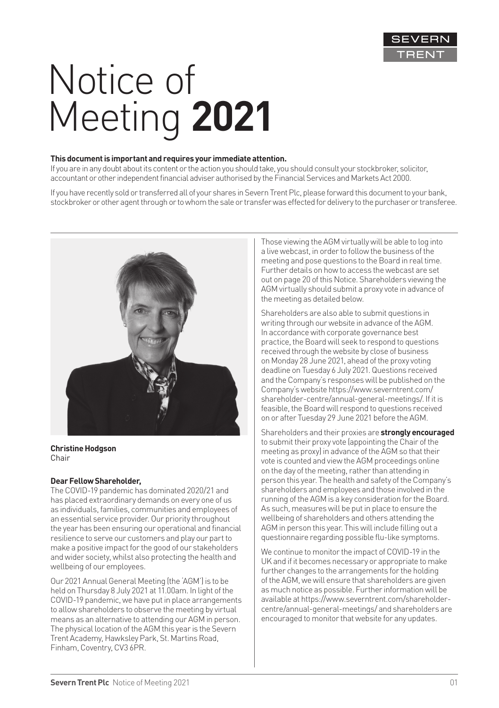

# Notice of Meeting **2021**

#### **This document is important and requires your immediate attention.**

If you are in any doubt about its content or the action you should take, you should consult your stockbroker, solicitor, accountant or other independent financial adviser authorised by the Financial Services and Markets Act 2000.

If you have recently sold or transferred all of your shares in Severn Trent Plc, please forward this document to your bank, stockbroker or other agent through or to whom the sale or transfer was effected for delivery to the purchaser or transferee.



**Christine Hodgson**  Chair

#### **Dear Fellow Shareholder,**

The COVID-19 pandemic has dominated 2020/21 and has placed extraordinary demands on every one of us as individuals, families, communities and employees of an essential service provider. Our priority throughout the year has been ensuring our operational and financial resilience to serve our customers and play our part to make a positive impact for the good of our stakeholders and wider society, whilst also protecting the health and wellbeing of our employees.

Our 2021 Annual General Meeting (the 'AGM') is to be held on Thursday 8 July 2021 at 11.00am. In light of the COVID-19 pandemic, we have put in place arrangements to allow shareholders to observe the meeting by virtual means as an alternative to attending our AGM in person. The physical location of the AGM this year is the Severn Trent Academy, Hawksley Park, St. Martins Road, Finham, Coventry, CV3 6PR.

Those viewing the AGM virtually will be able to log into a live webcast, in order to follow the business of the meeting and pose questions to the Board in real time. Further details on how to access the webcast are set out on page 20 of this Notice. Shareholders viewing the AGM virtually should submit a proxy vote in advance of the meeting as detailed below.

Shareholders are also able to submit questions in writing through our website in advance of the AGM. In accordance with corporate governance best practice, the Board will seek to respond to questions received through the website by close of business on Monday 28 June 2021, ahead of the proxy voting deadline on Tuesday 6 July 2021. Questions received and the Company's responses will be published on the Company's website https://www.severntrent.com/ shareholder-centre/annual-general-meetings/. If it is feasible, the Board will respond to questions received on or after Tuesday 29 June 2021 before the AGM.

Shareholders and their proxies are **strongly encouraged** to submit their proxy vote (appointing the Chair of the meeting as proxy) in advance of the AGM so that their vote is counted and view the AGM proceedings online on the day of the meeting, rather than attending in person this year. The health and safety of the Company's shareholders and employees and those involved in the running of the AGM is a key consideration for the Board. As such, measures will be put in place to ensure the wellbeing of shareholders and others attending the AGM in person this year. This will include filling out a questionnaire regarding possible flu-like symptoms.

We continue to monitor the impact of COVID-19 in the UK and if it becomes necessary or appropriate to make further changes to the arrangements for the holding of the AGM, we will ensure that shareholders are given as much notice as possible. Further information will be available at https://www.severntrent.com/shareholdercentre/annual-general-meetings/ and shareholders are encouraged to monitor that website for any updates.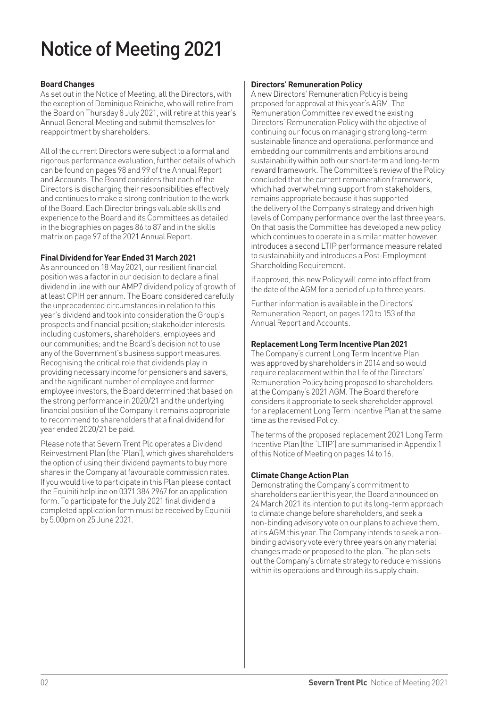# Notice of Meeting 2021

#### **Board Changes**

As set out in the Notice of Meeting, all the Directors, with the exception of Dominique Reiniche, who will retire from the Board on Thursday 8 July 2021, will retire at this year's Annual General Meeting and submit themselves for reappointment by shareholders.

All of the current Directors were subject to a formal and rigorous performance evaluation, further details of which can be found on pages 98 and 99 of the Annual Report and Accounts. The Board considers that each of the Directors is discharging their responsibilities effectively and continues to make a strong contribution to the work of the Board. Each Director brings valuable skills and experience to the Board and its Committees as detailed in the biographies on pages 86 to 87 and in the skills matrix on page 97 of the 2021 Annual Report.

#### **Final Dividend for Year Ended 31 March 2021**

As announced on 18 May 2021, our resilient financial position was a factor in our decision to declare a final dividend in line with our AMP7 dividend policy of growth of at least CPIH per annum. The Board considered carefully the unprecedented circumstances in relation to this year's dividend and took into consideration the Group's prospects and financial position; stakeholder interests including customers, shareholders, employees and our communities; and the Board's decision not to use any of the Government's business support measures. Recognising the critical role that dividends play in providing necessary income for pensioners and savers, and the significant number of employee and former employee investors, the Board determined that based on the strong performance in 2020/21 and the underlying financial position of the Company it remains appropriate to recommend to shareholders that a final dividend for year ended 2020/21 be paid.

Please note that Severn Trent Plc operates a Dividend Reinvestment Plan (the 'Plan'), which gives shareholders the option of using their dividend payments to buy more shares in the Company at favourable commission rates. If you would like to participate in this Plan please contact the Equiniti helpline on 0371 384 2967 for an application form. To participate for the July 2021 final dividend a completed application form must be received by Equiniti by 5.00pm on 25 June 2021.

#### **Directors' Remuneration Policy**

A new Directors' Remuneration Policy is being proposed for approval at this year's AGM. The Remuneration Committee reviewed the existing Directors' Remuneration Policy with the objective of continuing our focus on managing strong long-term sustainable finance and operational performance and embedding our commitments and ambitions around sustainability within both our short-term and long-term reward framework. The Committee's review of the Policy concluded that the current remuneration framework, which had overwhelming support from stakeholders, remains appropriate because it has supported the delivery of the Company's strategy and driven high levels of Company performance over the last three years. On that basis the Committee has developed a new policy which continues to operate in a similar matter however introduces a second LTIP performance measure related to sustainability and introduces a Post-Employment Shareholding Requirement.

If approved, this new Policy will come into effect from the date of the AGM for a period of up to three years.

Further information is available in the Directors' Remuneration Report, on pages 120 to 153 of the Annual Report and Accounts.

#### **Replacement Long Term Incentive Plan 2021**

The Company's current Long Term Incentive Plan was approved by shareholders in 2014 and so would require replacement within the life of the Directors' Remuneration Policy being proposed to shareholders at the Company's 2021 AGM. The Board therefore considers it appropriate to seek shareholder approval for a replacement Long Term Incentive Plan at the same time as the revised Policy.

The terms of the proposed replacement 2021 Long Term Incentive Plan (the 'LTIP') are summarised in Appendix 1 of this Notice of Meeting on pages 14 to 16.

#### **Climate Change Action Plan**

Demonstrating the Company's commitment to shareholders earlier this year, the Board announced on 24 March 2021 its intention to put its long-term approach to climate change before shareholders, and seek a non-binding advisory vote on our plans to achieve them, at its AGM this year. The Company intends to seek a nonbinding advisory vote every three years on any material changes made or proposed to the plan. The plan sets out the Company's climate strategy to reduce emissions within its operations and through its supply chain.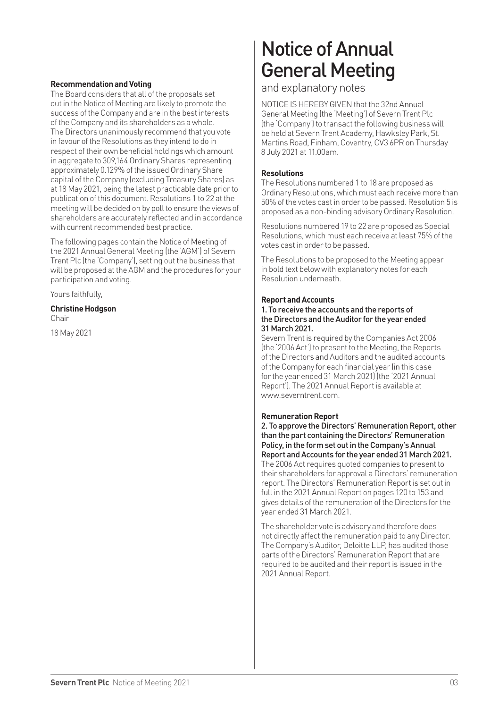#### **Recommendation and Voting**

The Board considers that all of the proposals set out in the Notice of Meeting are likely to promote the success of the Company and are in the best interests of the Company and its shareholders as a whole. The Directors unanimously recommend that you vote in favour of the Resolutions as they intend to do in respect of their own beneficial holdings which amount in aggregate to 309,164 Ordinary Shares representing approximately 0.129% of the issued Ordinary Share capital of the Company (excluding Treasury Shares) as at 18 May 2021, being the latest practicable date prior to publication of this document. Resolutions 1 to 22 at the meeting will be decided on by poll to ensure the views of shareholders are accurately reflected and in accordance with current recommended best practice.

The following pages contain the Notice of Meeting of the 2021 Annual General Meeting (the 'AGM') of Severn Trent Plc (the 'Company'), setting out the business that will be proposed at the AGM and the procedures for your participation and voting.

Yours faithfully,

#### **Christine Hodgson**  Chair

18 May 2021

# Notice of Annual General Meeting

and explanatory notes

NOTICE IS HEREBY GIVEN that the 32nd Annual General Meeting (the 'Meeting') of Severn Trent Plc (the 'Company') to transact the following business will be held at Severn Trent Academy, Hawksley Park, St. Martins Road, Finham, Coventry, CV3 6PR on Thursday 8 July 2021 at 11.00am.

#### **Resolutions**

The Resolutions numbered 1 to 18 are proposed as Ordinary Resolutions, which must each receive more than 50% of the votes cast in order to be passed. Resolution 5 is proposed as a non-binding advisory Ordinary Resolution.

Resolutions numbered 19 to 22 are proposed as Special Resolutions, which must each receive at least 75% of the votes cast in order to be passed.

The Resolutions to be proposed to the Meeting appear in bold text below with explanatory notes for each Resolution underneath.

#### **Report and Accounts**

#### 1. To receive the accounts and the reports of the Directors and the Auditor for the year ended 31 March 2021.

Severn Trent is required by the Companies Act 2006 (the '2006 Act') to present to the Meeting, the Reports of the Directors and Auditors and the audited accounts of the Company for each financial year (in this case for the year ended 31 March 2021) (the '2021 Annual Report'). The 2021 Annual Report is available at www.severntrent.com.

#### **Remuneration Report**

2. To approve the Directors' Remuneration Report, other than the part containing the Directors' Remuneration Policy, in the form set out in the Company's Annual Report and Accounts for the year ended 31 March 2021.

The 2006 Act requires quoted companies to present to their shareholders for approval a Directors' remuneration report. The Directors' Remuneration Report is set out in full in the 2021 Annual Report on pages 120 to 153 and gives details of the remuneration of the Directors for the year ended 31 March 2021.

The shareholder vote is advisory and therefore does not directly affect the remuneration paid to any Director. The Company's Auditor, Deloitte LLP, has audited those parts of the Directors' Remuneration Report that are required to be audited and their report is issued in the 2021 Annual Report.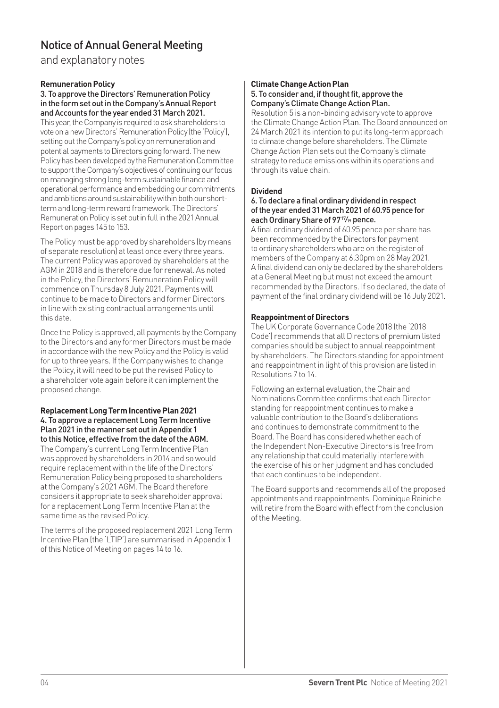and explanatory notes

#### **Remuneration Policy**

3. To approve the Directors' Remuneration Policy in the form set out in the Company's Annual Report and Accounts for the year ended 31 March 2021.

This year, the Company is required to ask shareholders to vote on a new Directors' Remuneration Policy (the 'Policy'), setting out the Company's policy on remuneration and potential payments to Directors going forward. The new Policy has been developed by the Remuneration Committee to support the Company's objectives of continuing our focus on managing strong long-term sustainable finance and operational performance and embedding our commitments and ambitions around sustainability within both our shortterm and long-term reward framework. The Directors' Remuneration Policy is set out in full in the 2021 Annual Report on pages 145 to 153.

The Policy must be approved by shareholders (by means of separate resolution) at least once every three years. The current Policy was approved by shareholders at the AGM in 2018 and is therefore due for renewal. As noted in the Policy, the Directors' Remuneration Policy will commence on Thursday 8 July 2021. Payments will continue to be made to Directors and former Directors in line with existing contractual arrangements until this date.

Once the Policy is approved, all payments by the Company to the Directors and any former Directors must be made in accordance with the new Policy and the Policy is valid for up to three years. If the Company wishes to change the Policy, it will need to be put the revised Policy to a shareholder vote again before it can implement the proposed change.

#### **Replacement Long Term Incentive Plan 2021** 4. To approve a replacement Long Term Incentive Plan 2021 in the manner set out in Appendix 1 to this Notice, effective from the date of the AGM.

The Company's current Long Term Incentive Plan was approved by shareholders in 2014 and so would require replacement within the life of the Directors' Remuneration Policy being proposed to shareholders at the Company's 2021 AGM. The Board therefore considers it appropriate to seek shareholder approval for a replacement Long Term Incentive Plan at the same time as the revised Policy.

The terms of the proposed replacement 2021 Long Term Incentive Plan (the 'LTIP') are summarised in Appendix 1 of this Notice of Meeting on pages 14 to 16.

#### **Climate Change Action Plan** 5. To consider and, if thought fit, approve the Company's Climate Change Action Plan.

Resolution 5 is a non-binding advisory vote to approve the Climate Change Action Plan. The Board announced on 24 March 2021 its intention to put its long-term approach to climate change before shareholders. The Climate Change Action Plan sets out the Company's climate strategy to reduce emissions within its operations and through its value chain.

#### **Dividend**

#### 6. To declare a final ordinary dividend in respect of the year ended 31 March 2021 of 60.95 pence for each Ordinary Share of 97<sup>17</sup>/<sub>19</sub> pence.

A final ordinary dividend of 60.95 pence per share has been recommended by the Directors for payment to ordinary shareholders who are on the register of members of the Company at 6.30pm on 28 May 2021. A final dividend can only be declared by the shareholders at a General Meeting but must not exceed the amount recommended by the Directors. If so declared, the date of payment of the final ordinary dividend will be 16 July 2021.

#### **Reappointment of Directors**

The UK Corporate Governance Code 2018 (the '2018 Code') recommends that all Directors of premium listed companies should be subject to annual reappointment by shareholders. The Directors standing for appointment and reappointment in light of this provision are listed in Resolutions 7 to 14.

Following an external evaluation, the Chair and Nominations Committee confirms that each Director standing for reappointment continues to make a valuable contribution to the Board's deliberations and continues to demonstrate commitment to the Board. The Board has considered whether each of the Independent Non-Executive Directors is free from any relationship that could materially interfere with the exercise of his or her judgment and has concluded that each continues to be independent.

The Board supports and recommends all of the proposed appointments and reappointments. Dominique Reiniche will retire from the Board with effect from the conclusion of the Meeting.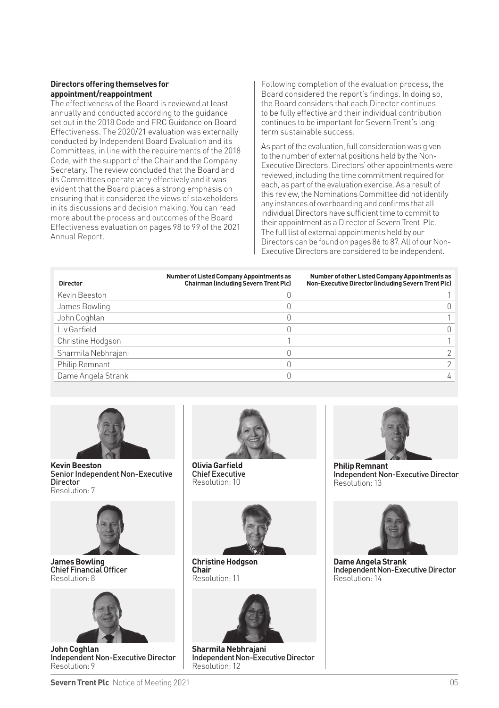#### **Directors offering themselves for appointment/reappointment**

The effectiveness of the Board is reviewed at least annually and conducted according to the guidance set out in the 2018 Code and FRC Guidance on Board Effectiveness. The 2020/21 evaluation was externally conducted by Independent Board Evaluation and its Committees, in line with the requirements of the 2018 Code, with the support of the Chair and the Company Secretary. The review concluded that the Board and its Committees operate very effectively and it was evident that the Board places a strong emphasis on ensuring that it considered the views of stakeholders in its discussions and decision making. You can read more about the process and outcomes of the Board Effectiveness evaluation on pages 98 to 99 of the 2021 Annual Report.

Following completion of the evaluation process, the Board considered the report's findings. In doing so, the Board considers that each Director continues to be fully effective and their individual contribution continues to be important for Severn Trent's longterm sustainable success.

As part of the evaluation, full consideration was given to the number of external positions held by the Non-Executive Directors. Directors' other appointments were reviewed, including the time commitment required for each, as part of the evaluation exercise. As a result of this review, the Nominations Committee did not identify any instances of overboarding and confirms that all individual Directors have sufficient time to commit to their appointment as a Director of Severn Trent Plc. The full list of external appointments held by our Directors can be found on pages 86 to 87. All of our Non-Executive Directors are considered to be independent.

| <b>Director</b>     | Number of Listed Company Appointments as<br><b>Chairman (including Severn Trent Plc)</b> | Number of other Listed Company Appointments as<br>Non-Executive Director (including Severn Trent Plc) |
|---------------------|------------------------------------------------------------------------------------------|-------------------------------------------------------------------------------------------------------|
| Kevin Beeston       |                                                                                          |                                                                                                       |
| James Bowling       |                                                                                          |                                                                                                       |
| John Coghlan        |                                                                                          |                                                                                                       |
| Liv Garfield        |                                                                                          |                                                                                                       |
| Christine Hodgson   |                                                                                          |                                                                                                       |
| Sharmila Nebhrajani |                                                                                          |                                                                                                       |
| Philip Remnant      |                                                                                          |                                                                                                       |
| Dame Angela Strank  |                                                                                          |                                                                                                       |



**Kevin Beeston**  Senior Independent Non-Executive **Director** Resolution: 7



**James Bowling**  Chief Financial Officer Resolution: 8



**John Coghlan**  Independent Non-Executive Director Resolution: 9



**Olivia Garfield**  Chief Executive Resolution: 10



**Christine Hodgson Chair** Resolution: 11



**Sharmila Nebhrajani**  Independent Non-Executive Director Resolution: 12



**Philip Remnant**  Independent Non-Executive Director Resolution: 13



**Dame Angela Strank**  Independent Non-Executive Director Resolution: 14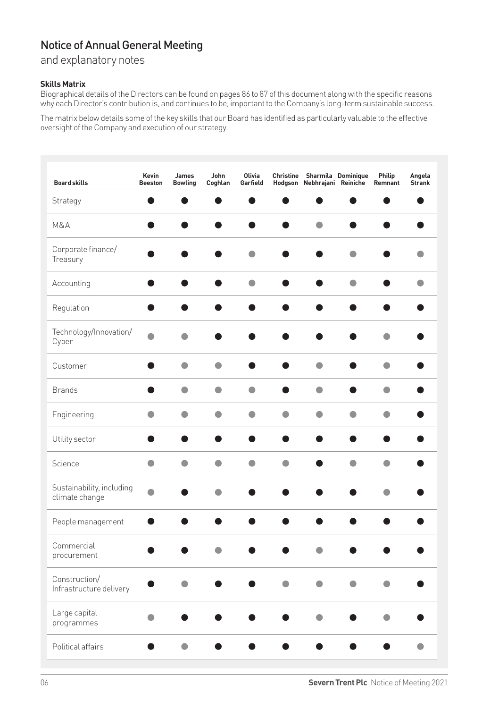and explanatory notes

#### **Skills Matrix**

Biographical details of the Directors can be found on pages 86 to 87 of this document along with the specific reasons why each Director's contribution is, and continues to be, important to the Company's long-term sustainable success.

The matrix below details some of the key skills that our Board has identified as particularly valuable to the effective oversight of the Company and execution of our strategy.

| <b>Board skills</b>                         | Kevin<br><b>Beeston</b> | James<br><b>Bowling</b> | John<br>Coghlan | Olivia<br>Garfield | Hodgson   | Christine Sharmila Dominique<br>Nebhrajani Reiniche |           | Philip<br>Remnant | Angela<br><b>Strank</b> |
|---------------------------------------------|-------------------------|-------------------------|-----------------|--------------------|-----------|-----------------------------------------------------|-----------|-------------------|-------------------------|
| Strategy                                    |                         | o                       | c               | œ                  | ●         |                                                     |           | æ                 |                         |
| M&A                                         |                         | ●                       |                 |                    | Δ         | ۸                                                   |           |                   |                         |
| Corporate finance/<br>Treasury              |                         |                         |                 | O                  |           |                                                     | ۸         |                   | O                       |
| Accounting                                  | O                       |                         |                 | $\bullet$          |           |                                                     | $\bullet$ |                   | $\bullet$               |
| Regulation                                  | ●                       | ●                       |                 |                    | ●         |                                                     | ●         | e                 |                         |
| Technology/Innovation/<br>Cyber             | ۵                       | ۵                       |                 |                    |           |                                                     |           |                   |                         |
| Customer                                    |                         | $\bullet$               | $\bullet$       |                    |           | ۸                                                   |           | $\bullet$         |                         |
| <b>Brands</b>                               |                         | $\bullet$               | O               | O                  |           | $\bullet$                                           |           | $\bullet$         |                         |
| Engineering                                 | $\bullet$               | $\bullet$               | $\bullet$       | $\bullet$          | $\bullet$ | $\bullet$                                           | $\bullet$ | $\bullet$         |                         |
| Utility sector                              | 0                       | 0                       | œ               | O                  | ●         |                                                     | œ         | 0                 |                         |
| Science                                     | $\bullet$               | $\bullet$               | $\bullet$       | $\bullet$          | $\bullet$ |                                                     | $\bullet$ | $\bullet$         |                         |
| Sustainability, including<br>climate change | ۸                       |                         | ٠               |                    |           |                                                     |           | ۸                 |                         |
| People management                           | O                       |                         |                 |                    |           |                                                     |           |                   |                         |
| Commercial<br>procurement                   |                         |                         |                 |                    |           |                                                     |           |                   |                         |
| Construction/<br>Infrastructure delivery    |                         |                         |                 |                    | ●         |                                                     |           |                   |                         |
| Large capital<br>programmes                 | ●                       |                         |                 |                    |           |                                                     |           |                   |                         |
| Political affairs                           |                         | $\bullet$               |                 |                    |           |                                                     |           |                   | $\bullet$               |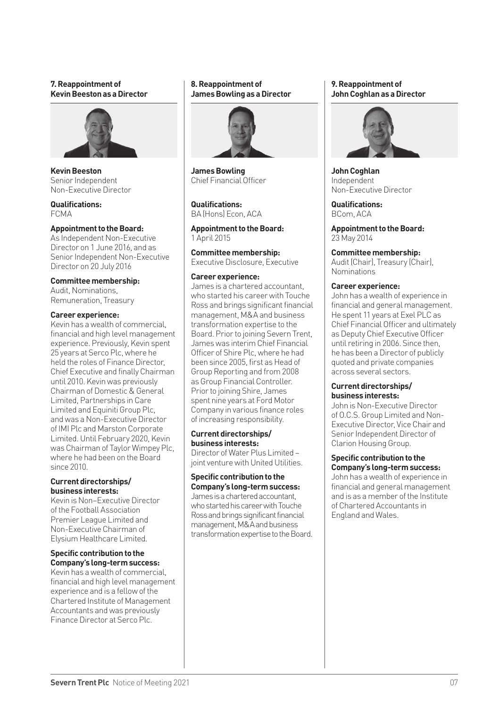#### **7. Reappointment of Kevin Beeston as a Director**



**Kevin Beeston**  Senior Independent Non-Executive Director

**Qualifications:** FCMA

#### **Appointment to the Board:**

As Independent Non-Executive Director on 1 June 2016, and as Senior Independent Non-Executive Director on 20 July 2016

#### **Committee membership:**

Audit, Nominations, Remuneration, Treasury

#### **Career experience:**

Kevin has a wealth of commercial, financial and high level management experience. Previously, Kevin spent 25 years at Serco Plc, where he held the roles of Finance Director, Chief Executive and finally Chairman until 2010. Kevin was previously Chairman of Domestic & General Limited, Partnerships in Care Limited and Equiniti Group Plc, and was a Non-Executive Director of IMI Plc and Marston Corporate Limited. Until February 2020, Kevin was Chairman of Taylor Wimpey Plc, where he had been on the Board since 2010.

#### **Current directorships/ business interests:**

Kevin is Non–Executive Director of the Football Association Premier League Limited and Non-Executive Chairman of Elysium Healthcare Limited.

#### **Specific contribution to the Company's long-term success:**

Kevin has a wealth of commercial, financial and high level management experience and is a fellow of the Chartered Institute of Management Accountants and was previously Finance Director at Serco Plc.

#### **8. Reappointment of James Bowling as a Director**



**James Bowling**  Chief Financial Officer

**Qualifications:** BA (Hons) Econ, ACA

**Appointment to the Board:** 1 April 2015

**Committee membership:** Executive Disclosure, Executive

#### **Career experience:**

James is a chartered accountant, who started his career with Touche Ross and brings significant financial management, M&A and business transformation expertise to the Board. Prior to joining Severn Trent, James was interim Chief Financial Officer of Shire Plc, where he had been since 2005, first as Head of Group Reporting and from 2008 as Group Financial Controller. Prior to joining Shire, James spent nine years at Ford Motor Company in various finance roles of increasing responsibility.

#### **Current directorships/ business interests:**

Director of Water Plus Limited – joint venture with United Utilities.

#### **Specific contribution to the Company's long-term success:**

James is a chartered accountant, who started his career with Touche Ross and brings significant financial management, M&A and business transformation expertise to the Board.

#### **9. Reappointment of John Coghlan as a Director**



**John Coghlan**  Independent Non-Executive Director

**Qualifications:** BCom, ACA

**Appointment to the Board:** 23 May 2014

**Committee membership:** Audit (Chair), Treasury (Chair), Nominations

#### **Career experience:**

John has a wealth of experience in financial and general management. He spent 11 years at Exel PLC as Chief Financial Officer and ultimately as Deputy Chief Executive Officer until retiring in 2006. Since then, he has been a Director of publicly quoted and private companies across several sectors.

#### **Current directorships/ business interests:**

John is Non-Executive Director of O.C.S. Group Limited and Non-Executive Director, Vice Chair and Senior Independent Director of Clarion Housing Group.

**Specific contribution to the Company's long-term success:**

John has a wealth of experience in financial and general management and is as a member of the Institute of Chartered Accountants in England and Wales.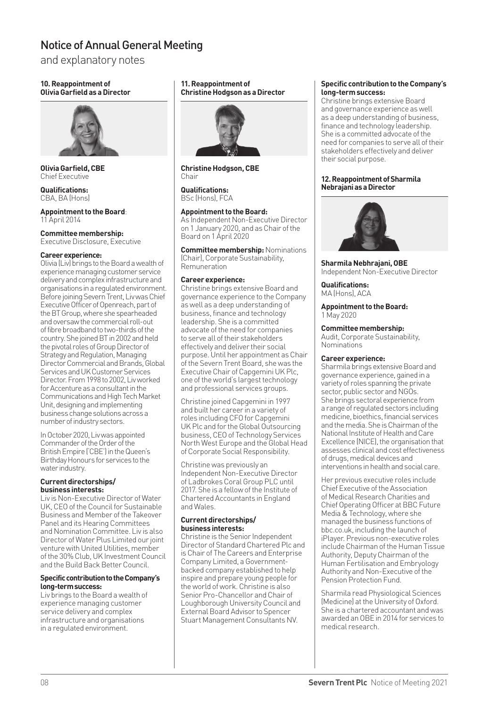and explanatory notes

#### **10. Reappointment of Olivia Garfield as a Director**



**Olivia Garfield, CBE**  Chief Executive

**Qualifications:** CBA, BA (Hone)

#### **Appointment to the Board**: 11 April 2014

**Committee membership:** Executive Disclosure, Executive

#### **Career experience:**

Olivia (Liv) brings to the Board a wealth of experience managing customer service delivery and complex infrastructure and organisations in a regulated environment. Before joining Severn Trent, Liv was Chief Executive Officer of Openreach, part of the BT Group, where she spearheaded and oversaw the commercial roll-out of fibre broadband to two-thirds of the country. She joined BT in 2002 and held the pivotal roles of Group Director of Strategy and Regulation, Managing Director Commercial and Brands, Global Services and UK Customer Services Director. From 1998 to 2002, Liv worked for Accenture as a consultant in the Communications and High Tech Market Unit, designing and implementing business change solutions across a number of industry sectors.

In October 2020, Liv was appointed Commander of the Order of the British Empire ('CBE') in the Queen's Birthday Honours for services to the water industry.

#### **Current directorships/ business interests:**

Liv is Non-Executive Director of Water UK, CEO of the Council for Sustainable Business and Member of the Takeover Panel and its Hearing Committees and Nomination Committee. Liv is also Director of Water Plus Limited our joint venture with United Utilities, member of the 30% Club, UK Investment Council and the Build Back Better Council.

#### **Specific contribution to the Company's long-term success:**

Liv brings to the Board a wealth of experience managing customer service delivery and complex infrastructure and organisations in a regulated environment.

#### **11. Reappointment of Christine Hodgson as a Director**



**Christine Hodgson, CBE** Chair

**Qualifications:** BSc (Hons), FCA

#### **Appointment to the Board:**

As Independent Non-Executive Director on 1 January 2020, and as Chair of the Board on 1 April 2020

**Committee membership:** Nominations (Chair), Corporate Sustainability, Remuneration

#### **Career experience:**

Christine brings extensive Board and governance experience to the Company as well as a deep understanding of business, finance and technology leadership. She is a committed advocate of the need for companies to serve all of their stakeholders effectively and deliver their social purpose. Until her appointment as Chair of the Severn Trent Board, she was the Executive Chair of Capgemini UK Plc, one of the world's largest technology and professional services groups.

Christine joined Capgemini in 1997 and built her career in a variety of roles including CFO for Capgemini UK Plc and for the Global Outsourcing business, CEO of Technology Services North West Europe and the Global Head of Corporate Social Responsibility.

Christine was previously an Independent Non-Executive Director of Ladbrokes Coral Group PLC until 2017. She is a fellow of the Institute of Chartered Accountants in England and Wales.

#### **Current directorships/ business interests:**

Christine is the Senior Independent Director of Standard Chartered Plc and is Chair of The Careers and Enterprise Company Limited, a Governmentbacked company established to help inspire and prepare young people for the world of work. Christine is also Senior Pro-Chancellor and Chair of Loughborough University Council and External Board Advisor to Spencer Stuart Management Consultants NV.

#### **Specific contribution to the Company's long-term success:**

Christine brings extensive Board and governance experience as well as a deep understanding of business, finance and technology leadership. She is a committed advocate of the need for companies to serve all of their stakeholders effectively and deliver their social purpose.

#### **12. Reappointment of Sharmila Nebrajani as a Director**



**Sharmila Nebhrajani, OBE** Independent Non-Executive Director

**Qualifications:**  MA (Hons), ACA

**Appointment to the Board:** 1 May 2020

#### **Committee membership:**

Audit, Corporate Sustainability, Nominations

#### **Career experience:**

Sharmila brings extensive Board and governance experience, gained in a variety of roles spanning the private sector, public sector and NGOs. She brings sectoral experience from a range of regulated sectors including medicine, bioethics, financial services and the media. She is Chairman of the National Institute of Health and Care Excellence (NICE), the organisation that assesses clinical and cost effectiveness of drugs, medical devices and interventions in health and social care.

Her previous executive roles include Chief Executive of the Association of Medical Research Charities and Chief Operating Officer at BBC Future Media & Technology, where she managed the business functions of bbc.co.uk, including the launch of iPlayer. Previous non-executive roles include Chairman of the Human Tissue Authority, Deputy Chairman of the Human Fertilisation and Embryology Authority and Non-Executive of the Pension Protection Fund.

Sharmila read Physiological Sciences (Medicine) at the University of Oxford. She is a chartered accountant and was awarded an OBE in 2014 for services to medical research.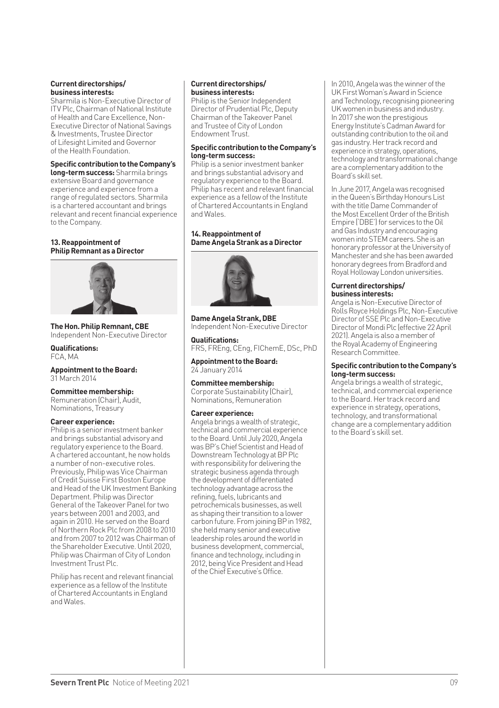#### **Current directorships/ business interests:**

Sharmila is Non-Executive Director of ITV Plc, Chairman of National Institute of Health and Care Excellence, Non-Executive Director of National Savings & Investments, Trustee Director of Lifesight Limited and Governor of the Health Foundation.

#### **Specific contribution to the Company's**

**long-term success:** Sharmila brings extensive Board and governance experience and experience from a range of regulated sectors. Sharmila is a chartered accountant and brings relevant and recent financial experience to the Company.

#### **13. Reappointment of Philip Remnant as a Director**



**The Hon. Philip Remnant, CBE** Independent Non-Executive Director

**Qualifications:** FCA, MA

**Appointment to the Board:** March 2014

#### **Committee membership:**

Remuneration (Chair), Audit, Nominations, Treasury

#### **Career experience:**

Philip is a senior investment banker and brings substantial advisory and regulatory experience to the Board. A chartered accountant, he now holds a number of non-executive roles. Previously, Philip was Vice Chairman of Credit Suisse First Boston Europe and Head of the UK Investment Banking Department. Philip was Director General of the Takeover Panel for two years between 2001 and 2003, and again in 2010. He served on the Board of Northern Rock Plc from 2008 to 2010 and from 2007 to 2012 was Chairman of the Shareholder Executive. Until 2020, Philip was Chairman of City of London Investment Trust Plc.

Philip has recent and relevant financial experience as a fellow of the Institute of Chartered Accountants in England and Wales.

#### **Current directorships/ business interests:**

Philip is the Senior Independent Director of Prudential Plc, Deputy Chairman of the Takeover Panel and Trustee of City of London Endowment Trust.

#### **Specific contribution to the Company's long-term success:**

Philip is a senior investment banker and brings substantial advisory and regulatory experience to the Board. Philip has recent and relevant financial experience as a fellow of the Institute of Chartered Accountants in England and Wales.

#### **14. Reappointment of Dame Angela Strank as a Director**



**Dame Angela Strank, DBE**  Independent Non-Executive Director

**Qualifications:** FRS, FREng, CEng, FIChemE, DSc, PhD

**Appointment to the Board:** 24 January 2014

#### **Committee membership:**

Corporate Sustainability (Chair), Nominations, Remuneration

#### **Career experience:**

Angela brings a wealth of strategic, technical and commercial experience to the Board. Until July 2020, Angela was BP's Chief Scientist and Head of Downstream Technology at BP Plc with responsibility for delivering the strategic business agenda through the development of differentiated technology advantage across the refining, fuels, lubricants and petrochemicals businesses, as well as shaping their transition to a lower carbon future. From joining BP in 1982, she held many senior and executive leadership roles around the world in business development, commercial, finance and technology, including in 2012, being Vice President and Head of the Chief Executive's Office.

In 2010, Angela was the winner of the UK First Woman's Award in Science and Technology, recognising pioneering UK women in business and industry. In 2017 she won the prestigious Energy Institute's Cadman Award for outstanding contribution to the oil and gas industry. Her track record and experience in strategy, operations, technology and transformational change are a complementary addition to the Board's skill set.

In June 2017, Angela was recognised in the Queen's Birthday Honours List with the title Dame Commander of the Most Excellent Order of the British Empire ('DBE') for services to the Oil and Gas Industry and encouraging women into STEM careers. She is an honorary professor at the University of Manchester and she has been awarded honorary degrees from Bradford and Royal Holloway London universities.

#### **Current directorships/ business interests:**

Angela is Non-Executive Director of Rolls Royce Holdings Plc, Non-Executive Director of SSE Plc and Non-Executive Director of Mondi Plc (effective 22 April 2021). Angela is also a member of the Royal Academy of Engineering Research Committee.

#### **Specific contribution to the Company's long-term success:**

Angela brings a wealth of strategic, technical, and commercial experience to the Board. Her track record and experience in strategy, operations, technology, and transformational change are a complementary addition to the Board's skill set.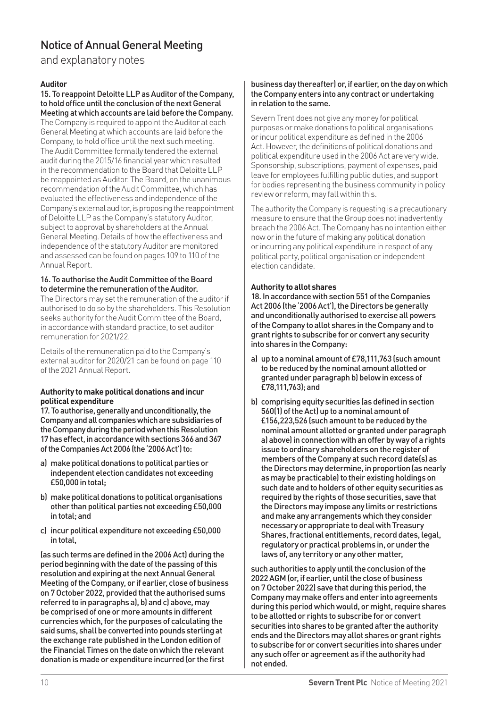and explanatory notes

#### **Auditor**

15. To reappoint Deloitte LLP as Auditor of the Company, to hold office until the conclusion of the next General Meeting at which accounts are laid before the Company. The Company is required to appoint the Auditor at each General Meeting at which accounts are laid before the Company, to hold office until the next such meeting. The Audit Committee formally tendered the external audit during the 2015/16 financial year which resulted in the recommendation to the Board that Deloitte LLP be reappointed as Auditor. The Board, on the unanimous recommendation of the Audit Committee, which has evaluated the effectiveness and independence of the Company's external auditor, is proposing the reappointment of Deloitte LLP as the Company's statutory Auditor, subject to approval by shareholders at the Annual General Meeting. Details of how the effectiveness and independence of the statutory Auditor are monitored and assessed can be found on pages 109 to 110 of the Annual Report.

#### 16. To authorise the Audit Committee of the Board to determine the remuneration of the Auditor.

The Directors may set the remuneration of the auditor if authorised to do so by the shareholders. This Resolution seeks authority for the Audit Committee of the Board, in accordance with standard practice, to set auditor remuneration for 2021/22.

Details of the remuneration paid to the Company's external auditor for 2020/21 can be found on page 110 of the 2021 Annual Report.

#### **Authority to make political donations and incur political expenditure**

17. To authorise, generally and unconditionally, the Company and all companies which are subsidiaries of the Company during the period when this Resolution 17 has effect, in accordance with sections 366 and 367 of the Companies Act 2006 (the '2006 Act') to:

- a) make political donations to political parties or independent election candidates not exceeding  $f50,000$  in total:
- b) make political donations to political organisations other than political parties not exceeding £50,000 in total; and
- c) incur political expenditure not exceeding £50,000 in total,

(as such terms are defined in the 2006 Act) during the period beginning with the date of the passing of this resolution and expiring at the next Annual General Meeting of the Company, or if earlier, close of business on 7 October 2022, provided that the authorised sums referred to in paragraphs a), b) and c) above, may be comprised of one or more amounts in different currencies which, for the purposes of calculating the said sums, shall be converted into pounds sterling at the exchange rate published in the London edition of the Financial Times on the date on which the relevant donation is made or expenditure incurred (or the first

#### business day thereafter) or, if earlier, on the day on which the Company enters into any contract or undertaking in relation to the same.

Severn Trent does not give any money for political purposes or make donations to political organisations or incur political expenditure as defined in the 2006 Act. However, the definitions of political donations and political expenditure used in the 2006 Act are very wide. Sponsorship, subscriptions, payment of expenses, paid leave for employees fulfilling public duties, and support for bodies representing the business community in policy review or reform, may fall within this.

The authority the Company is requesting is a precautionary measure to ensure that the Group does not inadvertently breach the 2006 Act. The Company has no intention either now or in the future of making any political donation or incurring any political expenditure in respect of any political party, political organisation or independent election candidate.

#### **Authority to allot shares**

18. In accordance with section 551 of the Companies Act 2006 (the '2006 Act'), the Directors be generally and unconditionally authorised to exercise all powers of the Company to allot shares in the Company and to grant rights to subscribe for or convert any security into shares in the Company:

- a) up to a nominal amount of £78,111,763 (such amount to be reduced by the nominal amount allotted or granted under paragraph b) below in excess of £78,111,763); and
- b) comprising equity securities (as defined in section 560(1) of the Act) up to a nominal amount of £156,223,526 (such amount to be reduced by the nominal amount allotted or granted under paragraph a) above) in connection with an offer by way of a rights issue to ordinary shareholders on the register of members of the Company at such record date(s) as the Directors may determine, in proportion (as nearly as may be practicable) to their existing holdings on such date and to holders of other equity securities as required by the rights of those securities, save that the Directors may impose any limits or restrictions and make any arrangements which they consider necessary or appropriate to deal with Treasury Shares, fractional entitlements, record dates, legal, regulatory or practical problems in, or under the laws of, any territory or any other matter,

such authorities to apply until the conclusion of the 2022 AGM (or, if earlier, until the close of business on 7 October 2022) save that during this period, the Company may make offers and enter into agreements during this period which would, or might, require shares to be allotted or rights to subscribe for or convert securities into shares to be granted after the authority ends and the Directors may allot shares or grant rights to subscribe for or convert securities into shares under any such offer or agreement as if the authority had not ended.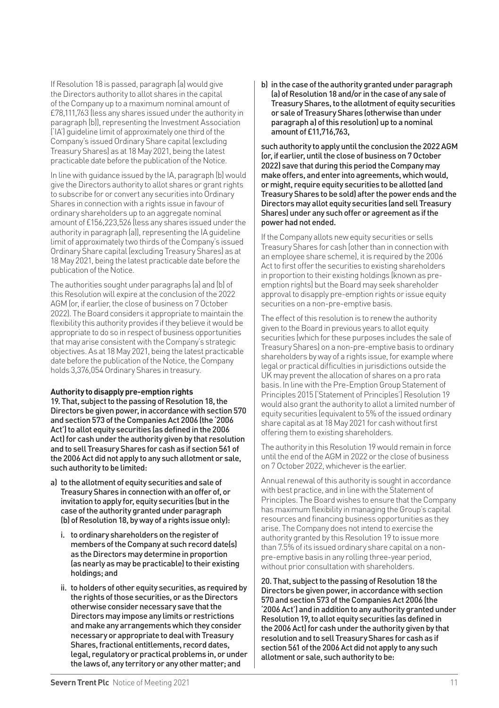If Resolution 18 is passed, paragraph (a) would give the Directors authority to allot shares in the capital of the Company up to a maximum nominal amount of £78,111,763 (less any shares issued under the authority in paragraph (b)), representing the Investment Association ('IA') guideline limit of approximately one third of the Company's issued Ordinary Share capital (excluding Treasury Shares) as at 18 May 2021, being the latest practicable date before the publication of the Notice.

In line with guidance issued by the IA, paragraph (b) would give the Directors authority to allot shares or grant rights to subscribe for or convert any securities into Ordinary Shares in connection with a rights issue in favour of ordinary shareholders up to an aggregate nominal amount of £156,223,526 (less any shares issued under the authority in paragraph (a)), representing the IA guideline limit of approximately two thirds of the Company's issued Ordinary Share capital (excluding Treasury Shares) as at 18 May 2021, being the latest practicable date before the publication of the Notice.

The authorities sought under paragraphs (a) and (b) of this Resolution will expire at the conclusion of the 2022 AGM (or, if earlier, the close of business on 7 October 2022). The Board considers it appropriate to maintain the flexibility this authority provides if they believe it would be appropriate to do so in respect of business opportunities that may arise consistent with the Company's strategic objectives. As at 18 May 2021, being the latest practicable date before the publication of the Notice, the Company holds 3,376,054 Ordinary Shares in treasury.

#### **Authority to disapply pre-emption rights**

19. That, subject to the passing of Resolution 18, the Directors be given power, in accordance with section 570 and section 573 of the Companies Act 2006 (the '2006 Act') to allot equity securities (as defined in the 2006 Act) for cash under the authority given by that resolution and to sell Treasury Shares for cash as if section 561 of the 2006 Act did not apply to any such allotment or sale, such authority to be limited:

- a) to the allotment of equity securities and sale of Treasury Shares in connection with an offer of, or invitation to apply for, equity securities (but in the case of the authority granted under paragraph (b) of Resolution 18, by way of a rights issue only):
	- i. to ordinary shareholders on the register of members of the Company at such record date(s) as the Directors may determine in proportion (as nearly as may be practicable) to their existing holdings; and
	- ii. to holders of other equity securities, as required by the rights of those securities, or as the Directors otherwise consider necessary save that the Directors may impose any limits or restrictions and make any arrangements which they consider necessary or appropriate to deal with Treasury Shares, fractional entitlements, record dates, legal, regulatory or practical problems in, or under the laws of, any territory or any other matter; and

b) in the case of the authority granted under paragraph (a) of Resolution 18 and/or in the case of any sale of Treasury Shares, to the allotment of equity securities or sale of Treasury Shares (otherwise than under paragraph a) of this resolution) up to a nominal amount of £11,716,763

such authority to apply until the conclusion the 2022 AGM (or, if earlier, until the close of business on 7 October 2022) save that during this period the Company may make offers, and enter into agreements, which would, or might, require equity securities to be allotted (and Treasury Shares to be sold) after the power ends and the Directors may allot equity securities (and sell Treasury Shares) under any such offer or agreement as if the power had not ended.

If the Company allots new equity securities or sells Treasury Shares for cash (other than in connection with an employee share scheme), it is required by the 2006 Act to first offer the securities to existing shareholders in proportion to their existing holdings (Known as preemption rights) but the Board may seek shareholder approval to disapply pre-emption rights or issue equity securities on a non-pre-emptive basis.

The effect of this resolution is to renew the authority given to the Board in previous years to allot equity securities (which for these purposes includes the sale of Treasury Shares) on a non-pre-emptive basis to ordinary shareholders by way of a rights issue, for example where legal or practical difficulties in jurisdictions outside the UK may prevent the allocation of shares on a pro rata basis. In line with the Pre-Emption Group Statement of Principles 2015 ('Statement of Principles') Resolution 19 would also grant the authority to allot a limited number of equity securities (equivalent to 5% of the issued ordinary share capital as at 18 May 2021 for cash without first offering them to existing shareholders.

The authority in this Resolution 19 would remain in force until the end of the AGM in 2022 or the close of business on 7 October 2022, whichever is the earlier.

Annual renewal of this authority is sought in accordance with best practice, and in line with the Statement of Principles. The Board wishes to ensure that the Company has maximum flexibility in managing the Group's capital resources and financing business opportunities as they arise. The Company does not intend to exercise the authority granted by this Resolution 19 to issue more than 7.5% of its issued ordinary share capital on a nonpre-emptive basis in any rolling three-year period, without prior consultation with shareholders.

20. That, subject to the passing of Resolution 18 the Directors be given power, in accordance with section 570 and section 573 of the Companies Act 2006 (the '2006 Act') and in addition to any authority granted under Resolution 19, to allot equity securities (as defined in the 2006 Act) for cash under the authority given by that resolution and to sell Treasury Shares for cash as if section 561 of the 2006 Act did not apply to any such allotment or sale, such authority to be: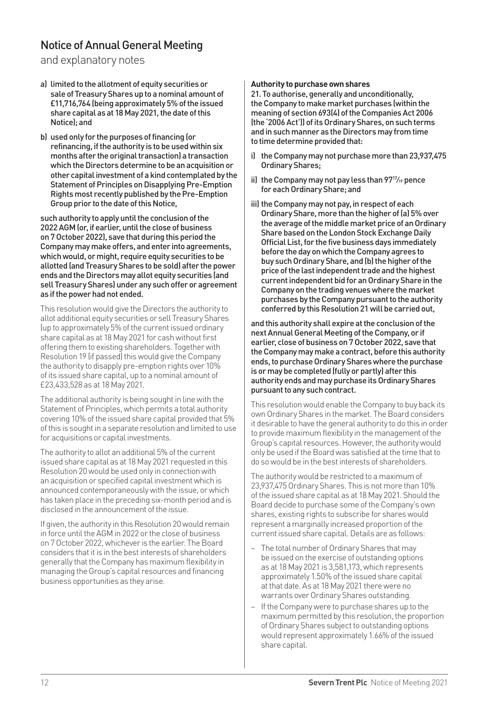and explanatory notes

- a) limited to the allotment of equity securities or sale of Treasury Shares up to a nominal amount of £11,716,764 (being approximately 5% of the issued share capital as at 18 May 2021, the date of this Notice); and
- b) used only for the purposes of financing (or refinancing, if the authority is to be used within six months after the original transaction) a transaction which the Directors determine to be an acquisition or other capital investment of a kind contemplated by the Statement of Principles on Disapplying Pre-Emption Rights most recently published by the Pre-Emption Group prior to the date of this Notice,

such authority to apply until the conclusion of the 2022 AGM (or, if earlier, until the close of business on 7 October 2022), save that during this period the Company may make offers, and enter into agreements, which would, or might, require equity securities to be allotted (and Treasury Shares to be sold) after the power ends and the Directors may allot equity securities (and sell Treasury Shares) under any such offer or agreement as if the power had not ended.

This resolution would give the Directors the authority to allot additional equity securities or sell Treasury Shares (up to approximately 5% of the current issued ordinary share capital as at 18 May 2021 for cash without first offering them to existing shareholders. Together with Resolution 19 (if passed) this would give the Company the authority to disapply pre-emption rights over 10% of its issued share capital, up to a nominal amount of £23,433,528 as at 18 May 2021.

The additional authority is being sought in line with the Statement of Principles, which permits a total authority covering 10% of the issued share capital provided that 5% of this is sought in a separate resolution and limited to use for acquisitions or capital investments.

The authority to allot an additional 5% of the current issued share capital as at 18 May 2021 requested in this Resolution 20 would be used only in connection with an acquisition or specified capital investment which is announced contemporaneously with the issue, or which has taken place in the preceding six-month period and is disclosed in the announcement of the issue.

If given, the authority in this Resolution 20 would remain in force until the AGM in 2022 or the close of business on 7 October 2022, whichever is the earlier. The Board considers that it is in the best interests of shareholders generally that the Company has maximum flexibility in managing the Group's capital resources and financing business opportunities as they arise.

#### **Authority to purchase own shares**

21. To authorise, generally and unconditionally, the Company to make market purchases (within the meaning of section 693(4) of the Companies Act 2006 (the '2006 Act')) of its Ordinary Shares, on such terms and in such manner as the Directors may from time to time determine provided that:

- i) the Company may not purchase more than 23,937,475 Ordinary Shares;
- ii) the Company may not pay less than  $97\frac{17}{19}$  pence for each Ordinary Share; and
- iii) the Company may not pay, in respect of each Ordinary Share, more than the higher of (a) 5% over the average of the middle market price of an Ordinary Share based on the London Stock Exchange Daily Official List, for the five business days immediately before the day on which the Company agrees to buy such Ordinary Share, and (b) the higher of the price of the last independent trade and the highest current independent bid for an Ordinary Share in the Company on the trading venues where the market purchases by the Company pursuant to the authority conferred by this Resolution 21 will be carried out,

and this authority shall expire at the conclusion of the next Annual General Meeting of the Company, or if earlier, close of business on 7 October 2022, save that the Company may make a contract, before this authority ends, to purchase Ordinary Shares where the purchase is or may be completed (fully or partly) after this authority ends and may purchase its Ordinary Shares pursuant to any such contract.

This resolution would enable the Company to buy back its own Ordinary Shares in the market. The Board considers it desirable to have the general authority to do this in order to provide maximum flexibility in the management of the Group's capital resources. However, the authority would only be used if the Board was satisfied at the time that to do so would be in the best interests of shareholders.

The authority would be restricted to a maximum of 23,937,475 Ordinary Shares. This is not more than 10% of the issued share capital as at 18 May 2021. Should the Board decide to purchase some of the Company's own shares, existing rights to subscribe for shares would represent a marginally increased proportion of the current issued share capital. Details are as follows:

- The total number of Ordinary Shares that may be issued on the exercise of outstanding options as at 18 May 2021 is 3,581,173, which represents approximately 1.50% of the issued share capital at that date. As at 18 May 2021 there were no warrants over Ordinary Shares outstanding.
- If the Company were to purchase shares up to the maximum permitted by this resolution, the proportion of Ordinary Shares subject to outstanding options would represent approximately 1.66% of the issued share capital.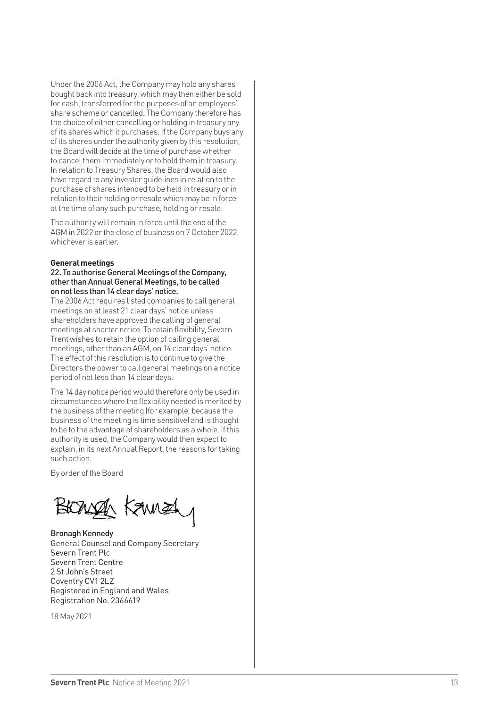Under the 2006 Act, the Company may hold any shares bought back into treasury, which may then either be sold for cash, transferred for the purposes of an employees' share scheme or cancelled. The Company therefore has the choice of either cancelling or holding in treasury any of its shares which it purchases. If the Company buys any of its shares under the authority given by this resolution, the Board will decide at the time of purchase whether to cancel them immediately or to hold them in treasury. In relation to Treasury Shares, the Board would also have regard to any investor guidelines in relation to the purchase of shares intended to be held in treasury or in relation to their holding or resale which may be in force at the time of any such purchase, holding or resale.

The authority will remain in force until the end of the AGM in 2022 or the close of business on 7 October 2022, whichever is earlier.

#### **General meetings**

#### 22. To authorise General Meetings of the Company, other than Annual General Meetings, to be called on not less than 14 clear days' notice.

The 2006 Act requires listed companies to call general meetings on at least 21 clear days' notice unless shareholders have approved the calling of general meetings at shorter notice. To retain flexibility, Severn Trent wishes to retain the option of calling general meetings, other than an AGM, on 14 clear days' notice. The effect of this resolution is to continue to give the Directors the power to call general meetings on a notice period of not less than 14 clear days.

The 14 day notice period would therefore only be used in circumstances where the flexibility needed is merited by the business of the meeting (for example, because the business of the meeting is time sensitive) and is thought to be to the advantage of shareholders as a whole. If this authority is used, the Company would then expect to explain, in its next Annual Report, the reasons for taking such action.

By order of the Board

BIONAL KANNEL

Bronagh Kennedy General Counsel and Company Secretary Severn Trent Plc Severn Trent Centre 2 St John's Street Coventry CV1 2LZ Registered in England and Wales Registration No. 2366619

18 May 2021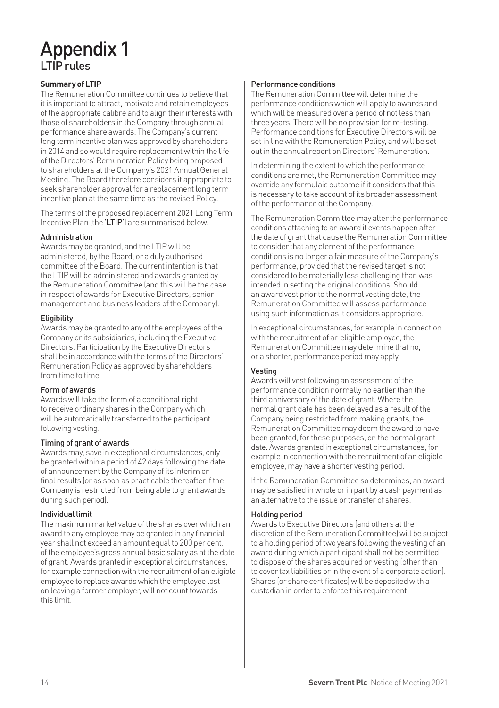# Appendix 1 LTIP rules

#### **Summary of LTIP**

The Remuneration Committee continues to believe that it is important to attract, motivate and retain employees of the appropriate calibre and to align their interests with those of shareholders in the Company through annual performance share awards. The Company's current long term incentive plan was approved by shareholders in 2014 and so would require replacement within the life of the Directors' Remuneration Policy being proposed to shareholders at the Company's 2021 Annual General Meeting. The Board therefore considers it appropriate to seek shareholder approval for a replacement long term incentive plan at the same time as the revised Policy.

The terms of the proposed replacement 2021 Long Term Incentive Plan (the 'LTIP') are summarised below.

#### **Adminictration**

Awards may be granted, and the LTIP will be administered, by the Board, or a duly authorised committee of the Board. The current intention is that the LTIP will be administered and awards granted by the Remuneration Committee (and this will be the case in respect of awards for Executive Directors, senior management and business leaders of the Company).

#### **Eligibility**

Awards may be granted to any of the employees of the Company or its subsidiaries, including the Executive Directors. Participation by the Executive Directors shall be in accordance with the terms of the Directors' Remuneration Policy as approved by shareholders from time to time.

#### Form of awards

Awards will take the form of a conditional right to receive ordinary shares in the Company which will be automatically transferred to the participant following vesting.

#### Timing of grant of awards

Awards may, save in exceptional circumstances, only be granted within a period of 42 days following the date of announcement by the Company of its interim or final results (or as soon as practicable thereafter if the Company is restricted from being able to grant awards during such period).

#### Individual limit

The maximum market value of the shares over which an award to any employee may be granted in any financial year shall not exceed an amount equal to 200 per cent. of the employee's gross annual basic salary as at the date of grant. Awards granted in exceptional circumstances, for example connection with the recruitment of an eligible employee to replace awards which the employee lost on leaving a former employer, will not count towards this limit.

#### Performance conditions

The Remuneration Committee will determine the performance conditions which will apply to awards and which will be measured over a period of not less than three years. There will be no provision for re-testing. Performance conditions for Executive Directors will be set in line with the Remuneration Policy, and will be set out in the annual report on Directors' Remuneration.

In determining the extent to which the performance conditions are met, the Remuneration Committee may override any formulaic outcome if it considers that this is necessary to take account of its broader assessment of the performance of the Company.

The Remuneration Committee may alter the performance conditions attaching to an award if events happen after the date of grant that cause the Remuneration Committee to consider that any element of the performance conditions is no longer a fair measure of the Company's performance, provided that the revised target is not considered to be materially less challenging than was intended in setting the original conditions. Should an award vest prior to the normal vesting date, the Remuneration Committee will assess performance using such information as it considers appropriate.

In exceptional circumstances, for example in connection with the recruitment of an eligible employee, the Remuneration Committee may determine that no, or a shorter, performance period may apply.

#### Vesting

Awards will vest following an assessment of the performance condition normally no earlier than the third anniversary of the date of grant. Where the normal grant date has been delayed as a result of the Company being restricted from making grants, the Remuneration Committee may deem the award to have been granted, for these purposes, on the normal grant date. Awards granted in exceptional circumstances, for example in connection with the recruitment of an eligible employee, may have a shorter vesting period.

If the Remuneration Committee so determines, an award may be satisfied in whole or in part by a cash payment as an alternative to the issue or transfer of shares.

#### Holding period

Awards to Executive Directors (and others at the discretion of the Remuneration Committee) will be subject to a holding period of two years following the vesting of an award during which a participant shall not be permitted to dispose of the shares acquired on vesting (other than to cover tax liabilities or in the event of a corporate action). Shares (or share certificates) will be deposited with a custodian in order to enforce this requirement.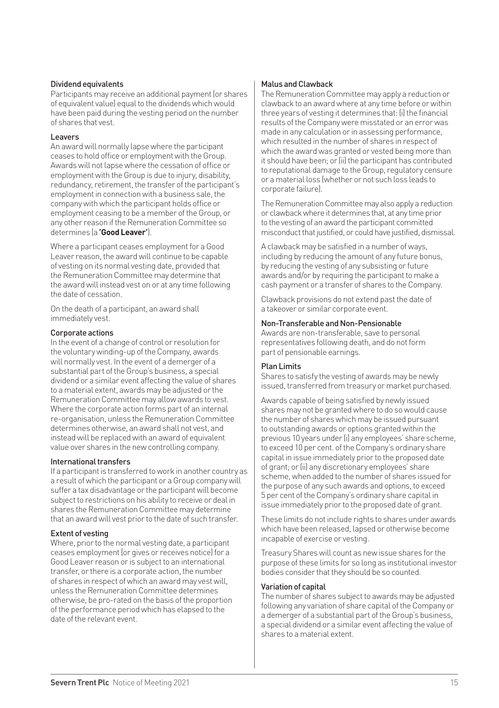#### Dividend equivalents

Participants may receive an additional payment (or shares of equivalent value) equal to the dividends which would have been paid during the vesting period on the number of shares that vest.

#### Leavers

An award will normally lapse where the participant ceases to hold office or employment with the Group. Awards will not lapse where the cessation of office or employment with the Group is due to injury, disability, redundancy, retirement, the transfer of the participant's employment in connection with a business sale, the company with which the participant holds office or employment ceasing to be a member of the Group, or any other reason if the Remuneration Committee so determines (a **'Good Leaver'**).

Where a participant ceases employment for a Good Leaver reason, the award will continue to be capable of vesting on its normal vesting date, provided that the Remuneration Committee may determine that the award will instead vest on or at any time following the date of cessation.

On the death of a participant, an award shall immediately vest.

#### Corporate actions

In the event of a change of control or resolution for the voluntary winding-up of the Company, awards will normally vest. In the event of a demerger of a substantial part of the Group's business, a special dividend or a similar event affecting the value of shares to a material extent, awards may be adjusted or the Remuneration Committee may allow awards to vest. Where the corporate action forms part of an internal re-organisation, unless the Remuneration Committee determines otherwise, an award shall not vest, and instead will be replaced with an award of equivalent value over shares in the new controlling company.

#### International transfers

If a participant is transferred to work in another country as a result of which the participant or a Group company will suffer a tax disadvantage or the participant will become subject to restrictions on his ability to receive or deal in shares the Remuneration Committee may determine that an award will vest prior to the date of such transfer.

#### Extent of vesting

Where, prior to the normal vesting date, a participant ceases employment (or gives or receives notice) for a Good Leaver reason or is subject to an international transfer, or there is a corporate action, the number of shares in respect of which an award may vest will, unless the Remuneration Committee determines otherwise, be pro-rated on the basis of the proportion of the performance period which has elapsed to the date of the relevant event.

#### Malus and Clawback

The Remuneration Committee may apply a reduction or clawback to an award where at any time before or within three years of vesting it determines that: (i) the financial results of the Company were misstated or an error was made in any calculation or in assessing performance, which resulted in the number of shares in respect of which the award was granted or vested being more than it should have been; or (ii) the participant has contributed to reputational damage to the Group, regulatory censure or a material loss (whether or not such loss leads to corporate failure).

The Remuneration Committee may also apply a reduction or clawback where it determines that, at any time prior to the vesting of an award the participant committed misconduct that justified, or could have justified, dismissal.

A clawback may be satisfied in a number of ways, including by reducing the amount of any future bonus, by reducing the vesting of any subsisting or future awards and/or by requiring the participant to make a cash payment or a transfer of shares to the Company.

Clawback provisions do not extend past the date of a takeover or similar corporate event.

#### Non-Transferable and Non-Pensionable

Awards are non-transferable, save to personal representatives following death, and do not form part of pensionable earnings.

#### Plan Limits

Shares to satisfy the vesting of awards may be newly issued, transferred from treasury or market purchased.

Awards capable of being satisfied by newly issued shares may not be granted where to do so would cause the number of shares which may be issued pursuant to outstanding awards or options granted within the previous 10 years under (i) any employees' share scheme, to exceed 10 per cent. of the Company's ordinary share capital in issue immediately prior to the proposed date of grant; or (ii) any discretionary employees' share scheme, when added to the number of shares issued for the purpose of any such awards and options, to exceed 5 per cent of the Company's ordinary share capital in issue immediately prior to the proposed date of grant.

These limits do not include rights to shares under awards which have been released, lansed or otherwise become incapable of exercise or vesting.

Treasury Shares will count as new issue shares for the purpose of these limits for so long as institutional investor bodies consider that they should be so counted.

#### Variation of capital

The number of shares subject to awards may be adjusted following any variation of share capital of the Company or a demerger of a substantial part of the Group's business, a special dividend or a similar event affecting the value of shares to a material extent.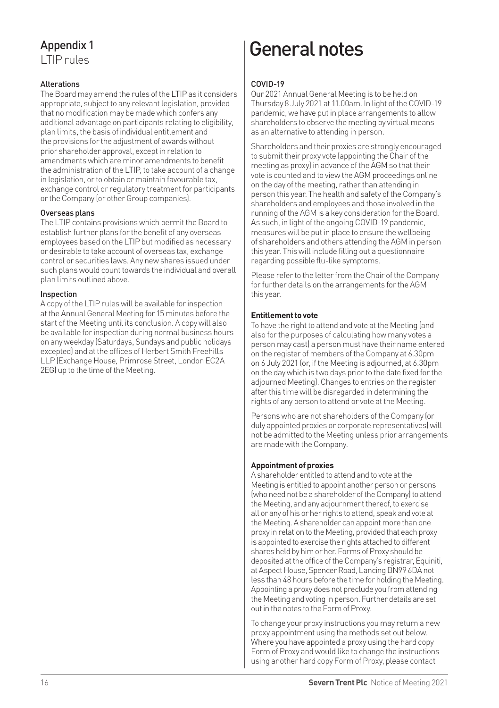LTIP rules

#### **Alterations**

The Board may amend the rules of the LTIP as it considers appropriate, subject to any relevant legislation, provided that no modification may be made which confers any additional advantage on participants relating to eligibility, plan limits, the basis of individual entitlement and the provisions for the adjustment of awards without prior shareholder approval, except in relation to amendments which are minor amendments to benefit the administration of the LTIP, to take account of a change in legislation, or to obtain or maintain favourable tax, exchange control or regulatory treatment for participants or the Company (or other Group companies).

#### Overseas plans

The LTIP contains provisions which permit the Board to establish further plans for the benefit of any overseas employees based on the LTIP but modified as necessary or desirable to take account of overseas tax, exchange control or securities laws. Any new shares issued under such plans would count towards the individual and overall plan limits outlined above.

#### Inspection

A copy of the LTIP rules will be available for inspection at the Annual General Meeting for 15 minutes before the start of the Meeting until its conclusion. A copy will also be available for inspection during normal business hours on any weekday (Saturdays, Sundays and public holidays excepted) and at the offices of Herbert Smith Freehills LLP (Exchange House, Primrose Street, London EC2A 2EG) up to the time of the Meeting.

# Appendix 1 and 1 General notes

#### COVID-19

Our 2021 Annual General Meeting is to be held on Thursday 8 July 2021 at 11.00am. In light of the COVID-19 pandemic, we have put in place arrangements to allow shareholders to observe the meeting by virtual means as an alternative to attending in person.

Shareholders and their proxies are strongly encouraged to submit their proxy vote (appointing the Chair of the meeting as proxy) in advance of the AGM so that their vote is counted and to view the AGM proceedings online on the day of the meeting, rather than attending in person this year. The health and safety of the Company's shareholders and employees and those involved in the running of the AGM is a key consideration for the Board. As such, in light of the ongoing COVID-19 pandemic, measures will be put in place to ensure the wellbeing of shareholders and others attending the AGM in person this year. This will include filling out a questionnaire regarding possible flu-like symptoms.

Please refer to the letter from the Chair of the Company for further details on the arrangements for the AGM this year.

#### **Entitlement to vote**

To have the right to attend and vote at the Meeting (and also for the purposes of calculating how many votes a person may cast) a person must have their name entered on the register of members of the Company at 6.30pm on 6 July 2021 (or, if the Meeting is adjourned, at 6.30pm on the day which is two days prior to the date fixed for the adjourned Meeting). Changes to entries on the register after this time will be disregarded in determining the rights of any person to attend or vote at the Meeting.

Persons who are not shareholders of the Company (or duly appointed proxies or corporate representatives) will not be admitted to the Meeting unless prior arrangements are made with the Company.

#### **Appointment of proxies**

A shareholder entitled to attend and to vote at the Meeting is entitled to appoint another person or persons (who need not be a shareholder of the Company) to attend the Meeting, and any adjournment thereof, to exercise all or any of his or her rights to attend, speak and vote at the Meeting. A shareholder can appoint more than one proxy in relation to the Meeting, provided that each proxy is appointed to exercise the rights attached to different shares held by him or her. Forms of Proxy should be deposited at the office of the Company's registrar, Equiniti, at Aspect House, Spencer Road, Lancing BN99 6DA not less than 48 hours before the time for holding the Meeting. Appointing a proxy does not preclude you from attending the Meeting and voting in person. Further details are set out in the notes to the Form of Proxy.

To change your proxy instructions you may return a new proxy appointment using the methods set out below. Where you have appointed a proxy using the hard copy Form of Proxy and would like to change the instructions using another hard copy Form of Proxy, please contact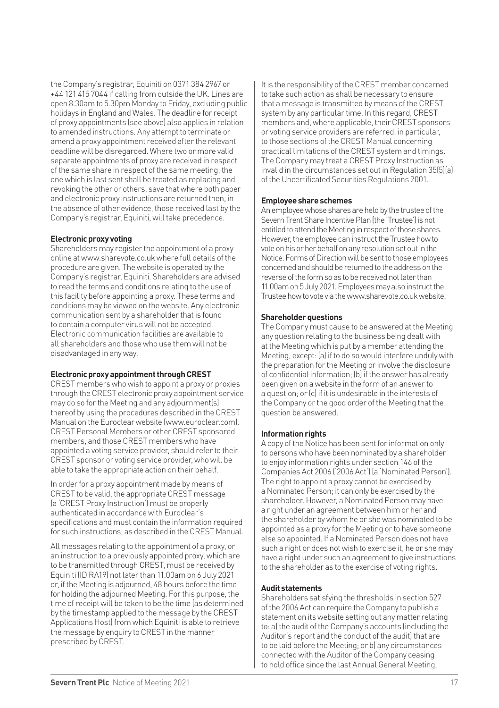the Company's registrar, Equiniti on 0371 384 2967 or +44 121 415 7044 if calling from outside the UK. Lines are open 8.30am to 5.30pm Monday to Friday, excluding public holidays in England and Wales. The deadline for receipt of proxy appointments (see above) also applies in relation to amended instructions. Any attempt to terminate or amend a proxy appointment received after the relevant deadline will be disregarded. Where two or more valid separate appointments of proxy are received in respect of the same share in respect of the same meeting, the one which is last sent shall be treated as replacing and revoking the other or others, save that where both paper and electronic proxy instructions are returned then, in the absence of other evidence, those received last by the Company's registrar, Equiniti, will take precedence.

#### **Electronic proxy voting**

Shareholders may register the appointment of a proxy online at www.sharevote.co.uk where full details of the procedure are given. The website is operated by the Company's registrar, Equiniti. Shareholders are advised to read the terms and conditions relating to the use of this facility before appointing a proxy. These terms and conditions may be viewed on the website. Any electronic communication sent by a shareholder that is found to contain a computer virus will not be accepted. Electronic communication facilities are available to all shareholders and those who use them will not be disadvantaged in any way.

#### **Electronic proxy appointment through CREST**

CREST members who wish to appoint a proxy or proxies through the CREST electronic proxy appointment service may do so for the Meeting and any adjournment(s) thereof by using the procedures described in the CREST Manual on the Euroclear website (www.euroclear.com). CREST Personal Members or other CREST sponsored members, and those CREST members who have appointed a voting service provider, should refer to their CREST sponsor or voting service provider, who will be able to take the appropriate action on their behalf.

In order for a proxy appointment made by means of CREST to be valid, the appropriate CREST message (a 'CREST Proxy Instruction') must be properly authenticated in accordance with Euroclear's specifications and must contain the information required for such instructions, as described in the CREST Manual.

All messages relating to the appointment of a proxy, or an instruction to a previously appointed proxy, which are to be transmitted through CREST, must be received by Equiniti (ID RA19) not later than 11.00am on 6 July 2021 or, if the Meeting is adjourned, 48 hours before the time for holding the adjourned Meeting. For this purpose, the time of receipt will be taken to be the time (as determined by the timestamp applied to the message by the CREST Applications Host) from which Equiniti is able to retrieve the message by enquiry to CREST in the manner prescribed by CREST.

It is the responsibility of the CREST member concerned to take such action as shall be necessary to ensure that a message is transmitted by means of the CREST system by any particular time. In this regard, CREST members and, where applicable, their CREST sponsors or voting service providers are referred, in particular, to those sections of the CREST Manual concerning practical limitations of the CREST system and timings. The Company may treat a CREST Proxy Instruction as invalid in the circumstances set out in Regulation 35(5)(a) of the Uncertificated Securities Regulations 2001.

#### **Employee share schemes**

An employee whose shares are held by the trustee of the Severn Trent Share Incentive Plan (the 'Trustee') is not entitled to attend the Meeting in respect of those shares. However, the employee can instruct the Trustee how to vote on his or her behalf on any resolution set out in the Notice. Forms of Direction will be sent to those employees concerned and should be returned to the address on the reverse of the form so as to be received not later than 11.00am on 5 July 2021. Employees may also instruct the Trustee how to vote via the www.sharevote.co.uk website.

#### **Shareholder questions**

The Company must cause to be answered at the Meeting any question relating to the business being dealt with at the Meeting which is put by a member attending the Meeting, except: (a) if to do so would interfere unduly with the preparation for the Meeting or involve the disclosure of confidential information; (b) if the answer has already been given on a website in the form of an answer to a question; or (c) if it is undesirable in the interests of the Company or the good order of the Meeting that the question be answered.

#### **Information rights**

A copy of the Notice has been sent for information only to persons who have been nominated by a shareholder to enjoy information rights under section 146 of the Companies Act 2006 ('2006 Act') (a 'Nominated Person'). The right to appoint a proxy cannot be exercised by a Nominated Person; it can only be exercised by the shareholder. However, a Nominated Person may have a right under an agreement between him or her and the shareholder by whom he or she was nominated to be appointed as a proxy for the Meeting or to have someone else so appointed. If a Nominated Person does not have such a right or does not wish to exercise it, he or she may have a right under such an agreement to give instructions to the shareholder as to the exercise of voting rights.

#### **Audit statements**

Shareholders satisfying the thresholds in section 527 of the 2006 Act can require the Company to publish a statement on its website setting out any matter relating to: a) the audit of the Company's accounts (including the Auditor's report and the conduct of the audit) that are to be laid before the Meeting; or b) any circumstances connected with the Auditor of the Company ceasing to hold office since the last Annual General Meeting,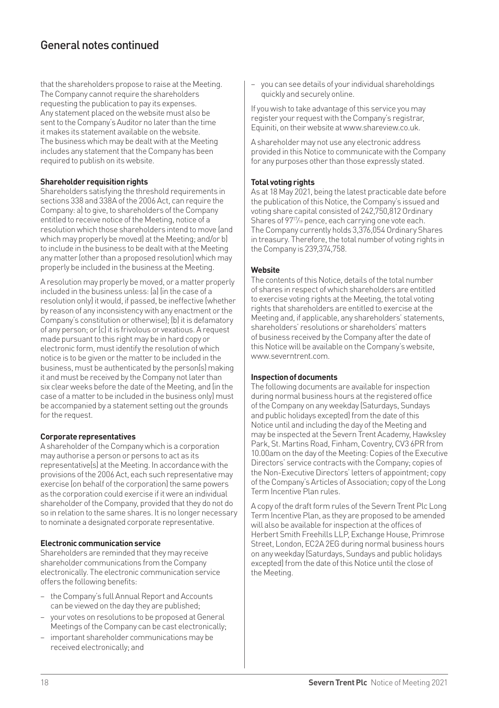### General notes continued

that the shareholders propose to raise at the Meeting. The Company cannot require the shareholders requesting the publication to pay its expenses. Any statement placed on the website must also be sent to the Company's Auditor no later than the time it makes its statement available on the website. The business which may be dealt with at the Meeting includes any statement that the Company has been required to publish on its website.

#### **Shareholder requisition rights**

Shareholders satisfying the threshold requirements in sections 338 and 338A of the 2006 Act, can require the Company: a) to give, to shareholders of the Company entitled to receive notice of the Meeting, notice of a resolution which those shareholders intend to move (and which may properly be moved) at the Meeting; and/or b) to include in the business to be dealt with at the Meeting any matter (other than a proposed resolution) which may properly be included in the business at the Meeting.

A resolution may properly be moved, or a matter properly included in the business unless: (a) (in the case of a resolution only) it would, if passed, be ineffective (whether by reason of any inconsistency with any enactment or the Company's constitution or otherwise); (b) it is defamatory of any person; or (c) it is frivolous or vexatious. A request made pursuant to this right may be in hard copy or electronic form, must identify the resolution of which notice is to be given or the matter to be included in the business, must be authenticated by the person(s) making it and must be received by the Company not later than six clear weeks before the date of the Meeting, and (in the case of a matter to be included in the business only) must be accompanied by a statement setting out the grounds for the request.

#### **Corporate representatives**

A shareholder of the Company which is a corporation may authorise a person or persons to act as its representative(s) at the Meeting. In accordance with the provisions of the 2006 Act, each such representative may exercise (on behalf of the corporation) the same powers as the corporation could exercise if it were an individual shareholder of the Company, provided that they do not do so in relation to the same shares. It is no longer necessary to nominate a designated corporate representative.

#### **Electronic communication service**

Shareholders are reminded that they may receive shareholder communications from the Company electronically. The electronic communication service offers the following benefits:

- the Company's full Annual Report and Accounts can be viewed on the day they are published;
- your votes on resolutions to be proposed at General Meetings of the Company can be cast electronically;
- important shareholder communications may be received electronically; and

– you can see details of your individual shareholdings quickly and securely online.

If you wish to take advantage of this service you may register your request with the Company's registrar, Equiniti, on their website at www.shareview.co.uk.

A shareholder may not use any electronic address provided in this Notice to communicate with the Company for any purposes other than those expressly stated.

#### **Total voting rights**

As at 18 May 2021, being the latest practicable date before the publication of this Notice, the Company's issued and voting share capital consisted of 242,750,812 Ordinary Shares of 9717⁄19 pence, each carrying one vote each. The Company currently holds 3,376,054 Ordinary Shares in treasury. Therefore, the total number of voting rights in the Company is 239,374,758.

#### **Website**

The contents of this Notice, details of the total number of shares in respect of which shareholders are entitled to exercise voting rights at the Meeting, the total voting rights that shareholders are entitled to exercise at the Meeting and, if applicable, any shareholders' statements, shareholders' resolutions or shareholders' matters of business received by the Company after the date of this Notice will be available on the Company's website, www.severntrent.com

#### **Inspection of documents**

The following documents are available for inspection during normal business hours at the registered office of the Company on any weekday (Saturdays, Sundays and public holidays excepted) from the date of this Notice until and including the day of the Meeting and may be inspected at the Severn Trent Academy, Hawksley Park, St. Martins Road, Finham, Coventry, CV3 6PR from 10.00am on the day of the Meeting: Copies of the Executive Directors' service contracts with the Company; copies of the Non-Executive Directors' letters of appointment; copy of the Company's Articles of Association; copy of the Long Term Incentive Plan rules.

A copy of the draft form rules of the Severn Trent Plc Long Term Incentive Plan, as they are proposed to be amended will also be available for inspection at the offices of Herbert Smith Freehills LLP, Exchange House, Primrose Street, London, EC2A 2EG during normal business hours on any weekday (Saturdays, Sundays and public holidays excepted) from the date of this Notice until the close of the Meeting.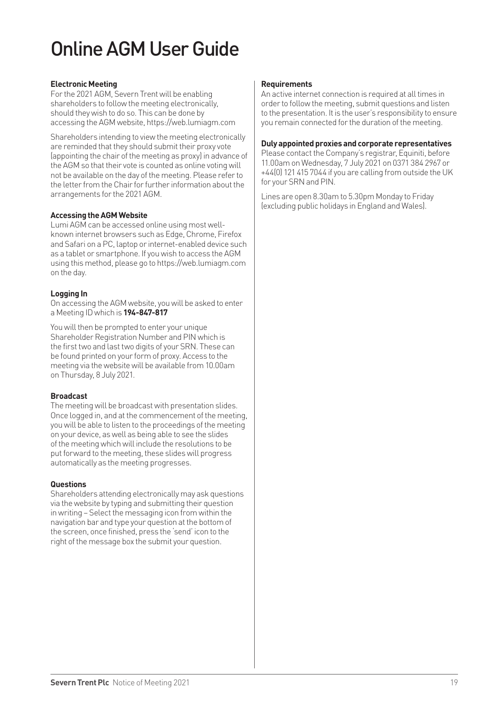# Online AGM User Guide

#### **Electronic Meeting**

For the 2021 AGM, Severn Trent will be enabling shareholders to follow the meeting electronically, should they wish to do so. This can be done by accessing the AGM website, https://web.lumiagm.com

Shareholders intending to view the meeting electronically are reminded that they should submit their proxy vote (appointing the chair of the meeting as proxy) in advance of the AGM so that their vote is counted as online voting will not be available on the day of the meeting. Please refer to the letter from the Chair for further information about the arrangements for the 2021 AGM.

#### **Accessing the AGM Website**

Lumi AGM can be accessed online using most wellknown internet browsers such as Edge, Chrome, Firefox and Safari on a PC, laptop or internet-enabled device such as a tablet or smartphone. If you wish to access the AGM using this method, please go to https://web.lumiagm.com on the day.

#### **Logging In**

On accessing the AGM website, you will be asked to enter a Meeting ID which is **194-847-817**

You will then be prompted to enter your unique Shareholder Registration Number and PIN which is the first two and last two digits of your SRN. These can be found printed on your form of proxy. Access to the meeting via the website will be available from 10.00am on Thursday, 8 July 2021.

#### **Broadcast**

The meeting will be broadcast with presentation slides. Once logged in, and at the commencement of the meeting, you will be able to listen to the proceedings of the meeting on your device, as well as being able to see the slides of the meeting which will include the resolutions to be put forward to the meeting, these slides will progress automatically as the meeting progresses.

#### **Questions**

Shareholders attending electronically may ask questions via the website by typing and submitting their question in writing – Select the messaging icon from within the navigation bar and type your question at the bottom of the screen, once finished, press the 'send' icon to the right of the message box the submit your question.

#### **Requirements**

An active internet connection is required at all times in order to follow the meeting, submit questions and listen to the presentation. It is the user's responsibility to ensure you remain connected for the duration of the meeting.

#### **Duly appointed proxies and corporate representatives**

Please contact the Company's registrar, Equiniti, before 11.00am on Wednesday, 7 July 2021 on 0371 384 2967 or +44(0) 121 415 7044 if you are calling from outside the UK for your SRN and PIN.

Lines are open 8.30am to 5.30pm Monday to Friday (excluding public holidays in England and Wales).